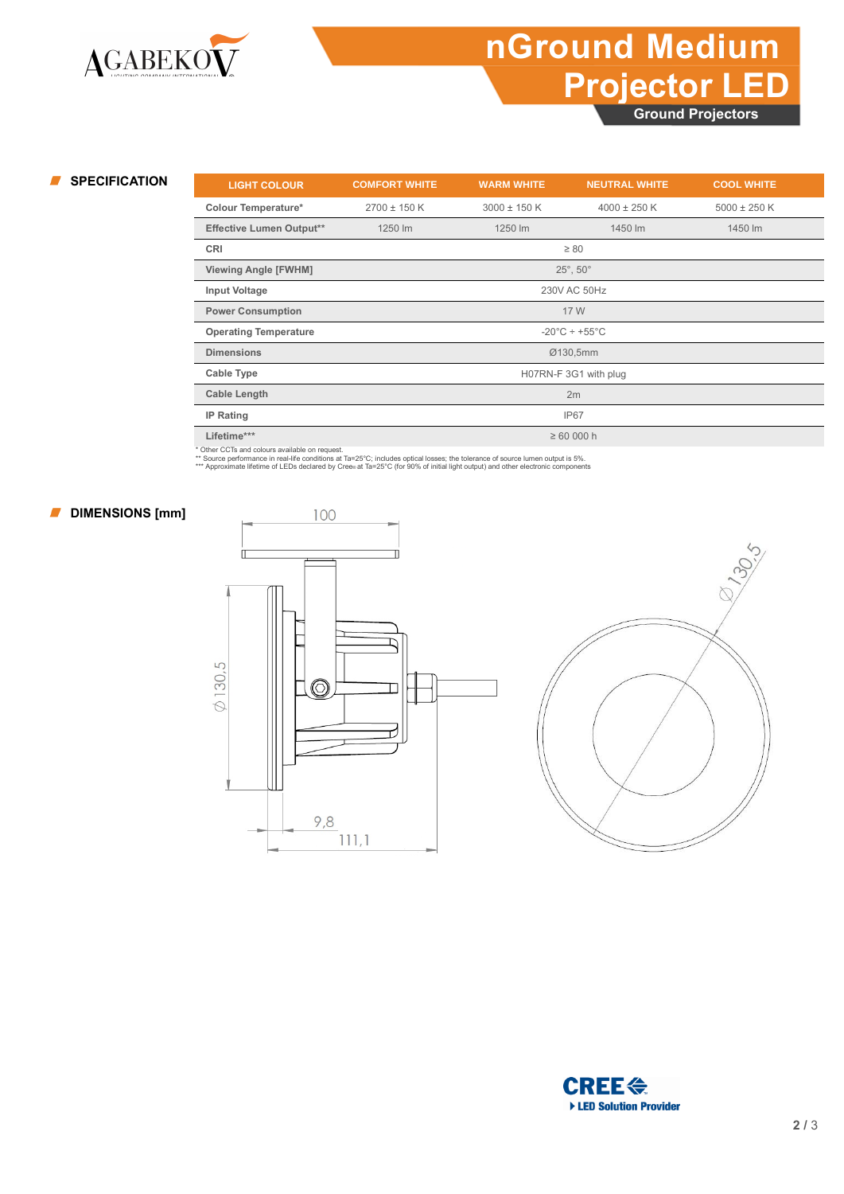## **nGround Medium Projector LED**

**Ground Projectors**

| <b>SPECIFICATION</b> | <b>LIGHT COLOUR</b>             | <b>COMFORT WHITE</b>               | <b>WARM WHITE</b> | <b>NEUTRAL WHITE</b> | <b>COOL WHITE</b> |  |
|----------------------|---------------------------------|------------------------------------|-------------------|----------------------|-------------------|--|
|                      | <b>Colour Temperature*</b>      | $2700 \pm 150$ K                   | $3000 \pm 150$ K  | $4000 \pm 250$ K     | $5000 \pm 250$ K  |  |
|                      | <b>Effective Lumen Output**</b> | 1250 lm                            | 1250 lm           | 1450 lm              | 1450 lm           |  |
|                      | CRI                             |                                    |                   | $\geq 80$            |                   |  |
|                      | <b>Viewing Angle [FWHM]</b>     | $25^\circ$ , $50^\circ$            |                   |                      |                   |  |
|                      | Input Voltage                   | 230V AC 50Hz                       |                   |                      |                   |  |
|                      | <b>Power Consumption</b>        | 17 W                               |                   |                      |                   |  |
|                      | <b>Operating Temperature</b>    | $-20^{\circ}$ C ÷ +55 $^{\circ}$ C |                   |                      |                   |  |
|                      | <b>Dimensions</b>               | Ø130,5mm                           |                   |                      |                   |  |
|                      | Cable Type                      | H07RN-F 3G1 with plug              |                   |                      |                   |  |
|                      | <b>Cable Length</b>             | 2m                                 |                   |                      |                   |  |
|                      | IP Rating                       | IP67                               |                   |                      |                   |  |
|                      | Lifetime***                     |                                    | $\geq 60000$ h    |                      |                   |  |
|                      |                                 |                                    |                   |                      |                   |  |

\* Other CCTs and colours available on request.<br>\*\* Source performance in real-life conditions at Ta=25°C; includes optical losses; the tolerance of source lumen output is 5%.<br>\*\*\* Approximate lifetime of LEDs declared by Cr

### **DIMENSIONS** [mm]